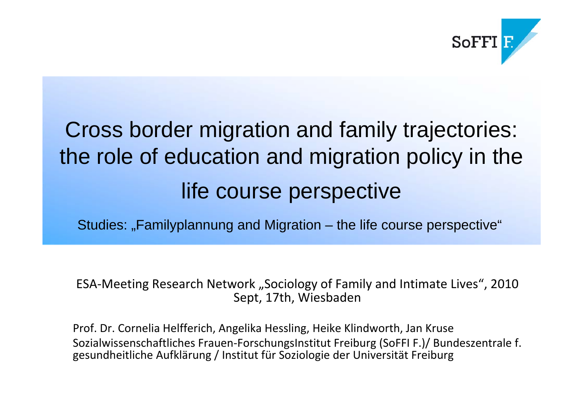

## Cross border migration and family trajectories: the role of education and migration policy in the life course perspective

Studies: "Familyplannung and Migration – the life course perspective"

ESA-Meeting Research Network "Sociology of Family and Intimate Lives", 2010 Sept, 17th, Wiesbaden

Prof. Dr. Cornelia Helfferich, Angelika Hessling, Heike Klindworth, Jan Kruse Sozialwissenschaftliches Frauen‐ForschungsInstitut Freiburg (SoFFI F.)/ Bundeszentrale f. gesundheitliche Aufklärung / Institut für Soziologie der Universität Freiburg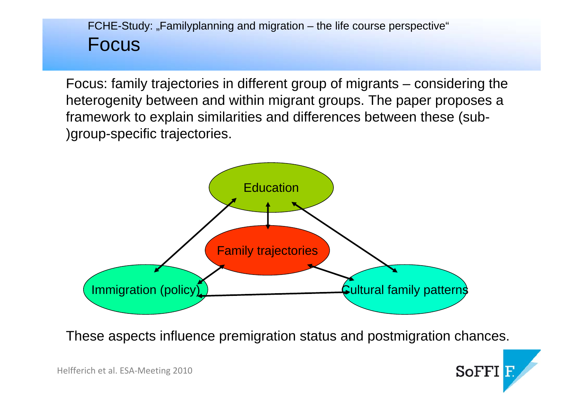#### $FCHE-Study: "Familyplanning and migration – the life course perspective"$ Focus

Focus: family trajectories in different group of migrants – considering the heterogenity between and within migrant groups. The paper proposes a framework to explain similarities and differences between these (sub- )group-specific trajectories.



These aspects influence premigration status and postmigration chances.

**SoFFI**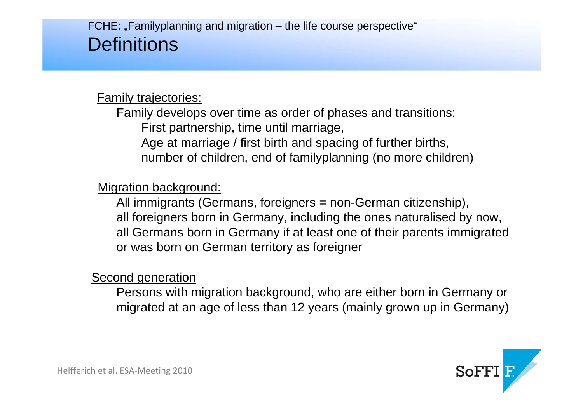#### $FCHE:$  "Familyplanning and migration – the life course perspective" **Definitions**

#### Family trajectories:

Family develops over time as order of phases and transitions: First partnership, time until marriage, Age at marriage / first birth and spacing of further births, number of children, end of familyplanning (no more children)

#### Migration background:

All immigrants (Germans, foreigners = non-German citizenship), all foreigners born in Germany, including the ones naturalised by now, all Germans born in Germany if at least one of their parents immigrated or was born on German territory as foreigner

#### Second generation

Persons with migration background, who are either born in Germany or migrated at an age of less than 12 years (mainly grown up in Germany)

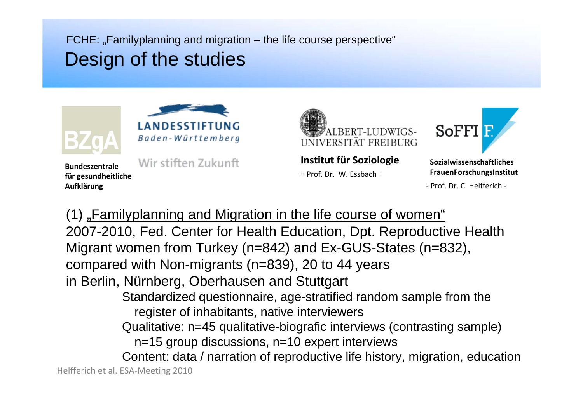$FCHE:$  "Familyplanning and migration  $-$  the life course perspective" Design of the studies



**Bundeszentralefür gesundheitliche Aufklärung**





**Institut für Soziologie**

‐ Prof. Dr. W. Essbach ‐



**SozialwissenschaftlichesFrauenForschungsInstitut**

‐ Prof. Dr. C. Helfferich ‐

(1) "Familyplanning and Migration in the life course of women" 2007-2010, Fed. Center for Health Education, Dpt. Reproductive Health Migrant women from Turkey (n=842) and Ex-GUS-States (n=832), compared with Non-migrants (n=839), 20 to 44 years in Berlin, Nürnberg, Oberhausen and Stuttgart Standardized questionnaire, age-stratified random sample from the register of inhabitants, native interviewers Qualitative: n=45 qualitative-biografic interviews (contrasting sample) n=15 group discussions, n=10 expert interviews Content: data / narration of reproductive life history, migration, education Helfferich et al. ESA‐Meeting 2010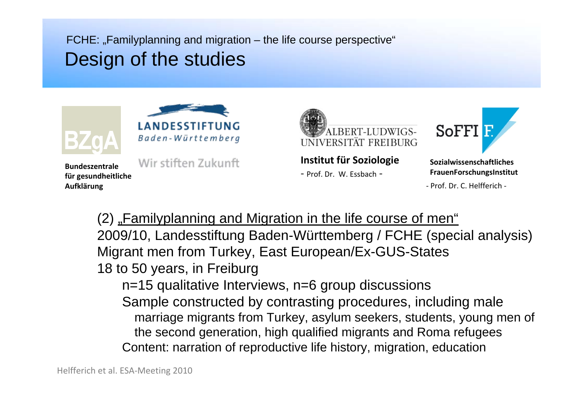$FCHE:$  "Familyplanning and migration – the life course perspective" Design of the studies



**Bundeszentralefür gesundheitliche Aufklärung**





**Institut für Soziologie**

‐ Prof. Dr. W. Essbach ‐



**SozialwissenschaftlichesFrauenForschungsInstitut**

‐ Prof. Dr. C. Helfferich ‐

(2) "Familyplanning and Migration in the life course of men" 2009/10, Landesstiftung Baden-Württemberg / FCHE (special analysis) Migrant men from Turkey, East European/Ex-GUS-States 18 to 50 years, in Freiburg n=15 qualitative Interviews, n=6 group discussions Sample constructed by contrasting procedures, including male marriage migrants from Turkey, asylum seekers, students, young men of the second generation, high qualified migrants and Roma refugees Content: narration of reproductive life history, migration, education

Helfferich et al. ESA‐Meeting 2010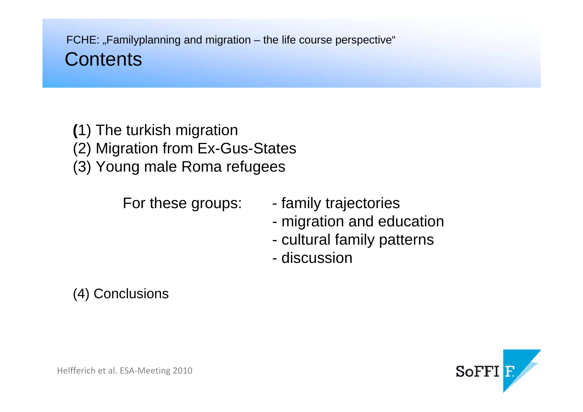- **(**1) The turkish migration
- (2) Migration from Ex-Gus-States
- (3) Young male Roma refugees

- For these groups: family trajectories
	- migration and education
	- cultural family patterns
	- discussion

(4) Conclusions

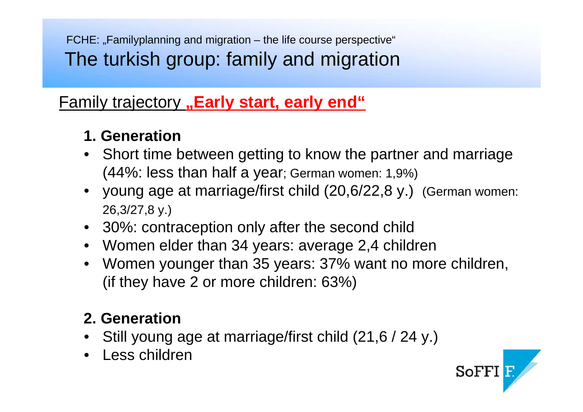$FCHE:$  "Familyplanning and migration  $-$  the life course perspective" The turkish group: family and migration

#### **Eamily trajectory** "Early start, early end"

#### **1. Generation**

- Short time between getting to know the partner and marriage (44%: less than half a year; German women: 1,9%)
- young age at marriage/first child (20,6/22,8 y.) (German women: 26,3/27,8 y.)
- 30%: contraception only after the second child
- Women elder than 34 years: average 2,4 children
- Women younger than 35 years: 37% want no more children, (if they have 2 or more children: 63%)

SoFFI<sub>E</sub>

## **2. Generation**

- Still young age at marriage/first child (21,6 / 24 y.)
- Less children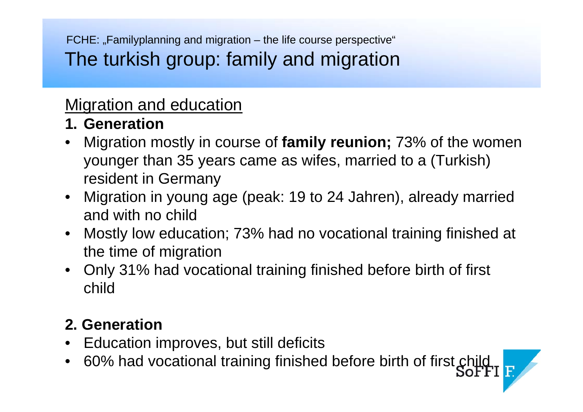$FCHE:$  "Familyplanning and migration – the life course perspective" The turkish group: family and migration

## Migration and education

- **1. Generation**
- Migration mostly in course of **family reunion;** 73% of the women younger than 35 years came as wifes, married to a (Turkish) resident in Germany
- Migration in young age (peak: 19 to 24 Jahren), already married and with no child
- Mostly low education; 73% had no vocational training finished at the time of migration
- Only 31% had vocational training finished before birth of first child

#### **2. Generation**

- Education improves, but still deficits
- 60% had vocational training finished before birth of first child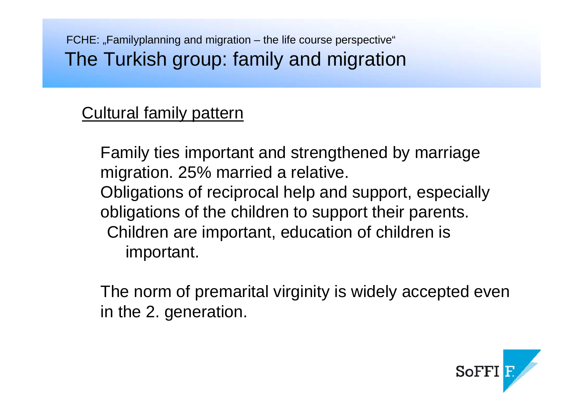$FCHE:$  "Familyplanning and migration – the life course perspective" The Turkish group: family and migration

#### Cultural family pattern

Family ties important and strengthened by marriage migration. 25% married a relative. Obligations of reciprocal help and support, especially obligations of the children to support their parents. Children are important, education of children is important.

The norm of premarital virginity is widely accepted even in the 2. generation.

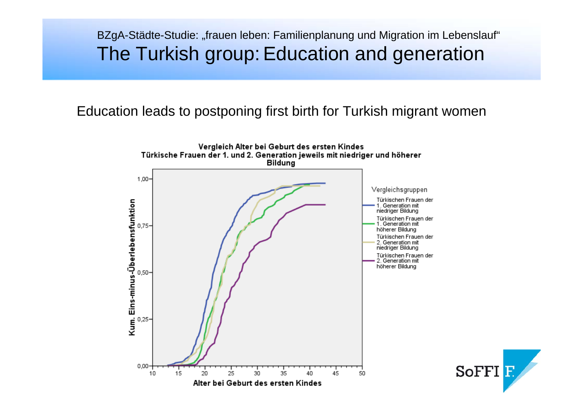#### BZgA-Städte-Studie: "frauen leben: Familienplanung und Migration im Lebenslauf" The Turkish group: Education and generation

#### Education leads to postponing first birth for Turkish migrant women

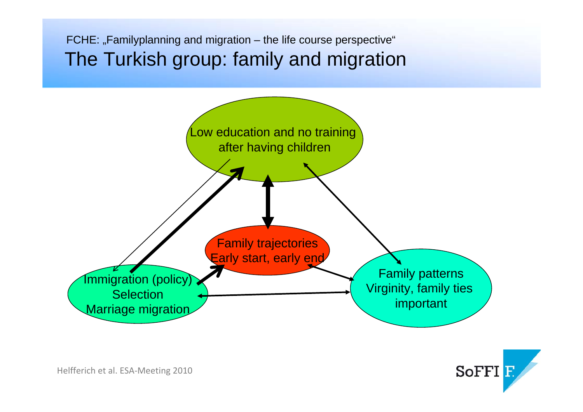$FCHE:$  "Familyplanning and migration  $-$  the life course perspective" The Turkish group: family and migration



SoFFI<sub>E</sub>

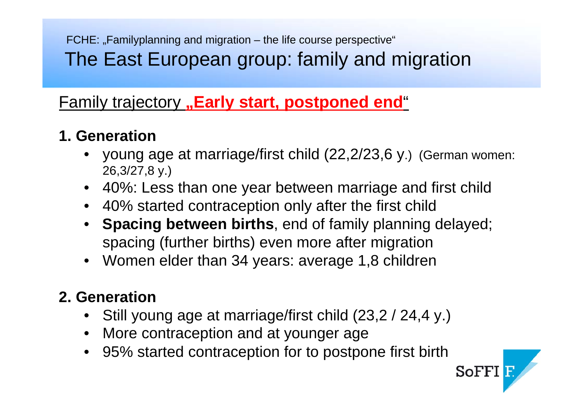FCHE: "Familyplanning and migration – the life course perspective" The East European group: family and migration

#### **Eamily trajectory** "Early start, postponed end"

#### **1. Generation**

- young age at marriage/first child (22,2/23,6 y.) (German women: 26,3/27,8 y.)
- 40%: Less than one year between marriage and first child
- 40% started contraception only after the first child
- **Spacing between births**, end of family planning delayed; spacing (further births) even more after migration
- Women elder than 34 years: average 1,8 children

#### **2. Generation**

- Still young age at marriage/first child (23,2 / 24,4 y.)
- More contraception and at younger age
- 95% started contraception for to postpone first birth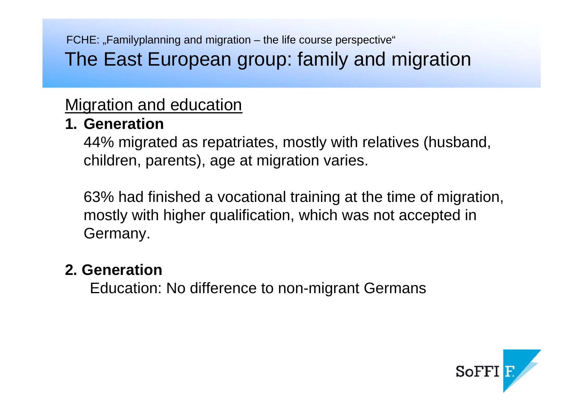$FCHE:$  "Familyplanning and migration – the life course perspective" The East European group: family and migration

## Migration and education

#### **1. Generation**

44% migrated as repatriates, mostly with relatives (husband, children, parents), age at migration varies.

63% had finished a vocational training at the time of migration, mostly with higher qualification, which was not accepted in Germany.

#### **2. Generation**

Education: No difference to non-migrant Germans

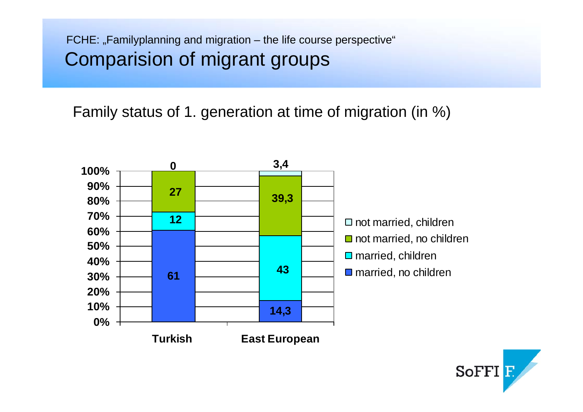#### FCHE: "Familyplanning and migration – the life course perspective" Comparision of migrant groups

Family status of 1. generation at time of migration (in %)



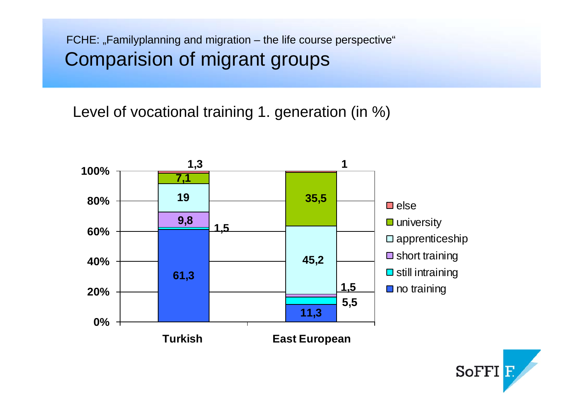#### FCHE: "Familyplanning and migration – the life course perspective" Comparision of migrant groups

Level of vocational training 1. generation (in %)



**SoFFI**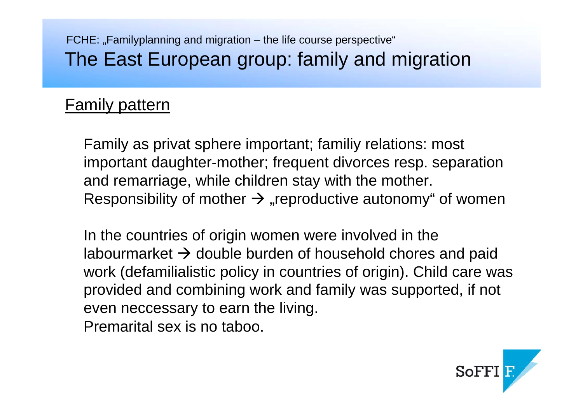#### $FCHE:$  "Familyplanning and migration – the life course perspective" The East European group: family and migration

## Family pattern

Family as privat sphere important; familiy relations: most important daughter-mother; frequent divorces resp. separation and remarriage, while children stay with the mother. Responsibility of mother  $\rightarrow$  "reproductive autonomy" of women

In the countries of origin women were involved in the labourmarket  $\bm{\rightarrow}$  double burden of household chores and paid work (defamilialistic policy in countries of origin). Child care was provided and combining work and family was supported, if not even neccessary to earn the living. Premarital sex is no taboo.

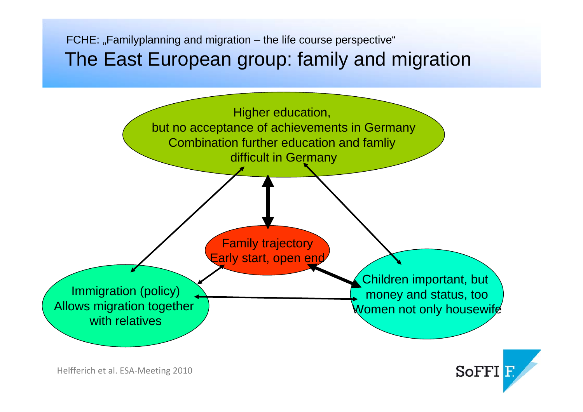#### $FCHE:$  "Familyplanning and migration  $-$  the life course perspective" The East European group: family and migration



**SoFFI** 

Helfferich et al. ESA‐Meeting 2010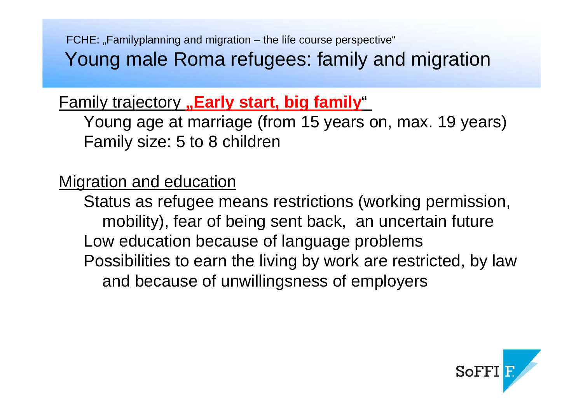$FCHE:$  "Familyplanning and migration – the life course perspective" Young male Roma refugees: family and migration

## **Family trajectory "Early start, big family"**

Young age at marriage (from 15 years on, max. 19 years) Family size: 5 to 8 children

#### Migration and education

Status as refugee means restrictions (working permission, mobility), fear of being sent back, an uncertain future Low education because of language problems Possibilities to earn the living by work are restricted, by law and because of unwillingsness of employers

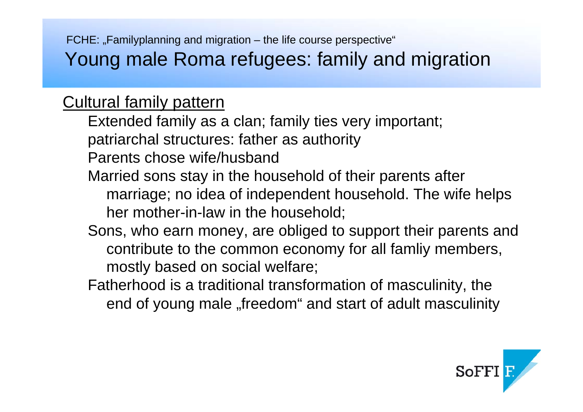FCHE: "Familyplanning and migration – the life course perspective" Young male Roma refugees: family and migration

#### Cultural family pattern

Extended family as a clan; family ties very important;

patriarchal structures: father as authority

Parents chose wife/husband

- Married sons stay in the household of their parents after marriage; no idea of independent household. The wife helps her mother-in-law in the household;
- Sons, who earn money, are obliged to support their parents and contribute to the common economy for all famliy members, mostly based on social welfare;
- Fatherhood is a traditional transformation of masculinity, the end of young male "freedom" and start of adult masculinity

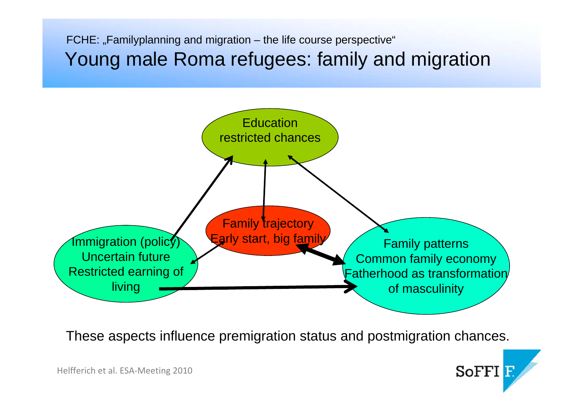$FCHE:$  "Familyplanning and migration  $-$  the life course perspective" Young male Roma refugees: family and migration



These aspects influence premigration status and postmigration chances.

**SoFFI**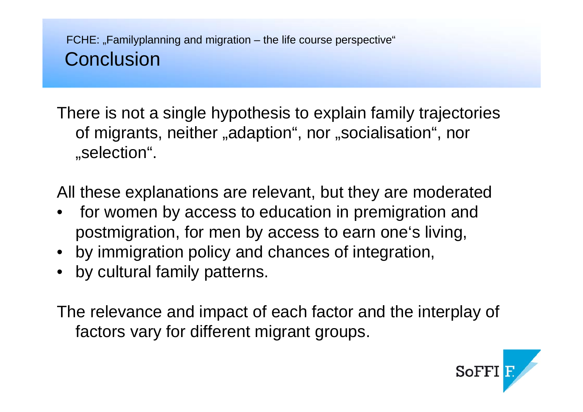There is not a single hypothesis to explain family trajectories of migrants, neither "adaption", nor "socialisation", nor "selection".

All these explanations are relevant, but they are moderated

- for women by access to education in premigration and postmigration, for men by access to earn one's living,
- by immigration policy and chances of integration,
- by cultural family patterns.

The relevance and impact of each factor and the interplay of factors vary for different migrant groups.